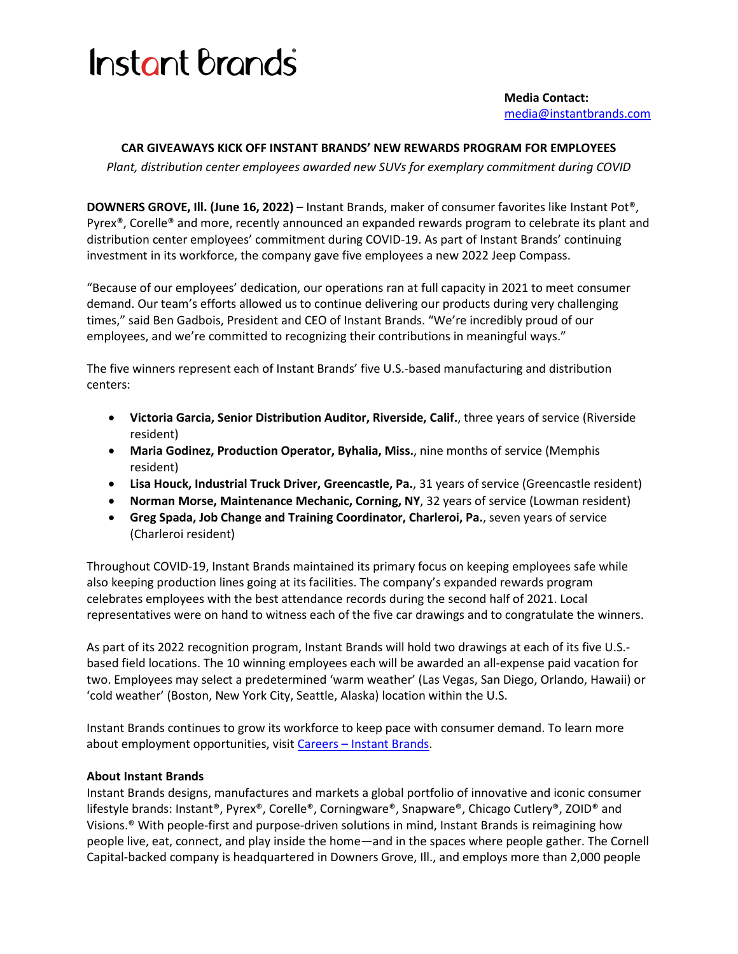## **Instant Brands**

 **Media Contact:** [media@instantbrands.com](mailto:media@instantbrands.com)

## **CAR GIVEAWAYS KICK OFF INSTANT BRANDS' NEW REWARDS PROGRAM FOR EMPLOYEES**

*Plant, distribution center employees awarded new SUVs for exemplary commitment during COVID*

**DOWNERS GROVE, Ill. (June 16, 2022)** – Instant Brands, maker of consumer favorites like Instant Pot®, Pyrex®, Corelle® and more, recently announced an expanded rewards program to celebrate its plant and distribution center employees' commitment during COVID-19. As part of Instant Brands' continuing investment in its workforce, the company gave five employees a new 2022 Jeep Compass.

"Because of our employees' dedication, our operations ran at full capacity in 2021 to meet consumer demand. Our team's efforts allowed us to continue delivering our products during very challenging times," said Ben Gadbois, President and CEO of Instant Brands. "We're incredibly proud of our employees, and we're committed to recognizing their contributions in meaningful ways."

The five winners represent each of Instant Brands' five U.S.-based manufacturing and distribution centers:

- **Victoria Garcia, Senior Distribution Auditor, Riverside, Calif.**, three years of service (Riverside resident)
- **Maria Godinez, Production Operator, Byhalia, Miss.**, nine months of service (Memphis resident)
- **Lisa Houck, Industrial Truck Driver, Greencastle, Pa.**, 31 years of service (Greencastle resident)
- **Norman Morse, Maintenance Mechanic, Corning, NY**, 32 years of service (Lowman resident)
- **Greg Spada, Job Change and Training Coordinator, Charleroi, Pa.**, seven years of service (Charleroi resident)

Throughout COVID-19, Instant Brands maintained its primary focus on keeping employees safe while also keeping production lines going at its facilities. The company's expanded rewards program celebrates employees with the best attendance records during the second half of 2021. Local representatives were on hand to witness each of the five car drawings and to congratulate the winners.

As part of its 2022 recognition program, Instant Brands will hold two drawings at each of its five U.S. based field locations. The 10 winning employees each will be awarded an all-expense paid vacation for two. Employees may select a predetermined 'warm weather' (Las Vegas, San Diego, Orlando, Hawaii) or 'cold weather' (Boston, New York City, Seattle, Alaska) location within the U.S.

Instant Brands continues to grow its workforce to keep pace with consumer demand. To learn more about employment opportunities, visit Careers - [Instant Brands.](https://corporate.instantbrands.com/careers/)

## **About Instant Brands**

Instant Brands designs, manufactures and markets a global portfolio of innovative and iconic consumer lifestyle brands: Instant®, Pyrex®, Corelle®, Corningware®, Snapware®, Chicago Cutlery®, ZOID® and Visions.® With people-first and purpose-driven solutions in mind, Instant Brands is reimagining how people live, eat, connect, and play inside the home—and in the spaces where people gather. The Cornell Capital-backed company is headquartered in Downers Grove, Ill., and employs more than 2,000 people